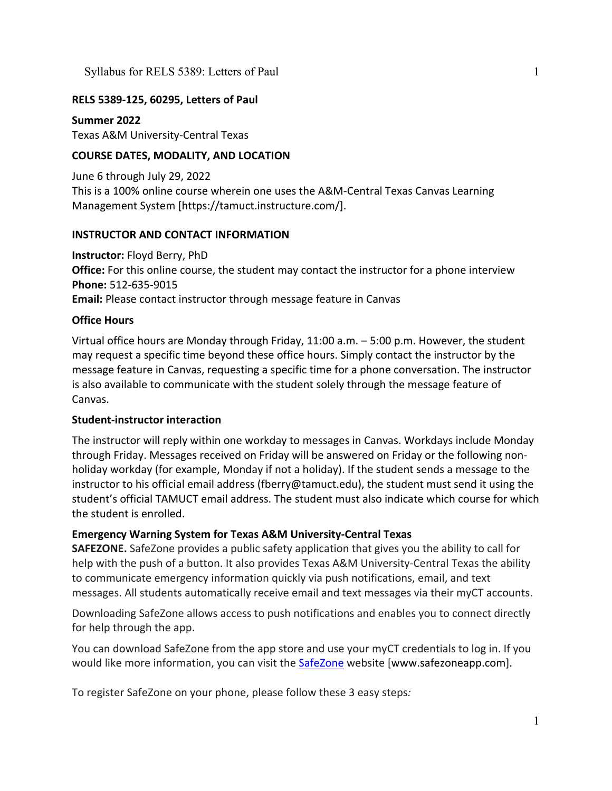# **RELS 5389-125, 60295, Letters of Paul**

**Summer 2022** Texas A&M University-Central Texas

# **COURSE DATES, MODALITY, AND LOCATION**

June 6 through July 29, 2022 This is a 100% online course wherein one uses the A&M-Central Texas Canvas Learning Management System [https://tamuct.instructure.com/].

## **INSTRUCTOR AND CONTACT INFORMATION**

**Instructor:** Floyd Berry, PhD **Office:** For this online course, the student may contact the instructor for a phone interview **Phone:** 512-635-9015 **Email:** Please contact instructor through message feature in Canvas

## **Office Hours**

Virtual office hours are Monday through Friday, 11:00 a.m. – 5:00 p.m. However, the student may request a specific time beyond these office hours. Simply contact the instructor by the message feature in Canvas, requesting a specific time for a phone conversation. The instructor is also available to communicate with the student solely through the message feature of Canvas.

### **Student-instructor interaction**

The instructor will reply within one workday to messages in Canvas. Workdays include Monday through Friday. Messages received on Friday will be answered on Friday or the following nonholiday workday (for example, Monday if not a holiday). If the student sends a message to the instructor to his official email address (fberry@tamuct.edu), the student must send it using the student's official TAMUCT email address. The student must also indicate which course for which the student is enrolled.

# **Emergency Warning System for Texas A&M University-Central Texas**

**SAFEZONE.** SafeZone provides a public safety application that gives you the ability to call for help with the push of a button. It also provides Texas A&M University-Central Texas the ability to communicate emergency information quickly via push notifications, email, and text messages. All students automatically receive email and text messages via their myCT accounts.

Downloading SafeZone allows access to push notifications and enables you to connect directly for help through the app.

You can download SafeZone from the app store and use your myCT credentials to log in. If you would like more information, you can visit the [SafeZone](http://www.safezoneapp.com/) website [www.safezoneapp.com].

To register SafeZone on your phone, please follow these 3 easy steps*:*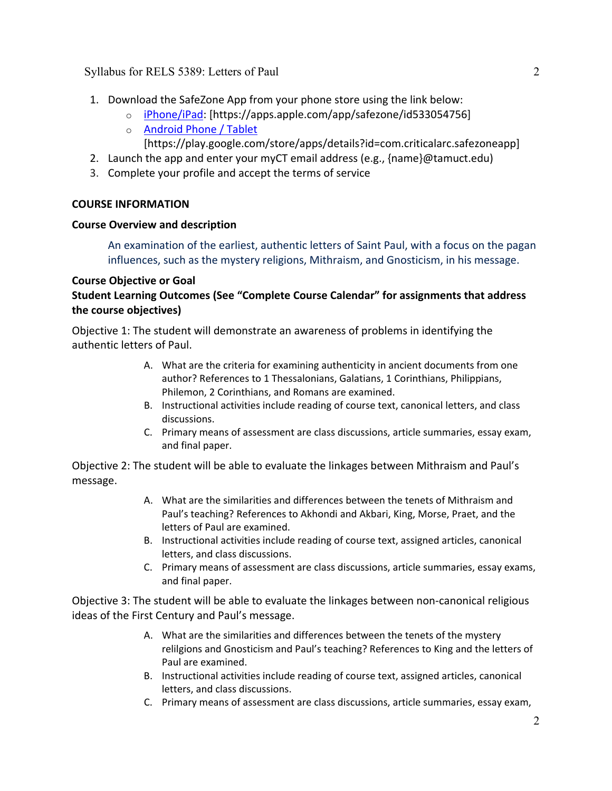- 1. Download the SafeZone App from your phone store using the link below:
	- o [iPhone/iPad:](https://apps.apple.com/app/safezone/id533054756) [https://apps.apple.com/app/safezone/id533054756]
	- o [Android Phone / Tablet](https://play.google.com/store/apps/details?id=com.criticalarc.safezoneapp) [https://play.google.com/store/apps/details?id=com.criticalarc.safezoneapp]
- 2. Launch the app and enter your myCT email address (e.g., {name}@tamuct.edu)
- 3. Complete your profile and accept the terms of service

## **COURSE INFORMATION**

## **Course Overview and description**

An examination of the earliest, authentic letters of Saint Paul, with a focus on the pagan influences, such as the mystery religions, Mithraism, and Gnosticism, in his message.

# **Course Objective or Goal**

**Student Learning Outcomes (See "Complete Course Calendar" for assignments that address the course objectives)**

Objective 1: The student will demonstrate an awareness of problems in identifying the authentic letters of Paul.

- A. What are the criteria for examining authenticity in ancient documents from one author? References to 1 Thessalonians, Galatians, 1 Corinthians, Philippians, Philemon, 2 Corinthians, and Romans are examined.
- B. Instructional activities include reading of course text, canonical letters, and class discussions.
- C. Primary means of assessment are class discussions, article summaries, essay exam, and final paper.

Objective 2: The student will be able to evaluate the linkages between Mithraism and Paul's message.

- A. What are the similarities and differences between the tenets of Mithraism and Paul's teaching? References to Akhondi and Akbari, King, Morse, Praet, and the letters of Paul are examined.
- B. Instructional activities include reading of course text, assigned articles, canonical letters, and class discussions.
- C. Primary means of assessment are class discussions, article summaries, essay exams, and final paper.

Objective 3: The student will be able to evaluate the linkages between non-canonical religious ideas of the First Century and Paul's message.

- A. What are the similarities and differences between the tenets of the mystery relilgions and Gnosticism and Paul's teaching? References to King and the letters of Paul are examined.
- B. Instructional activities include reading of course text, assigned articles, canonical letters, and class discussions.
- C. Primary means of assessment are class discussions, article summaries, essay exam,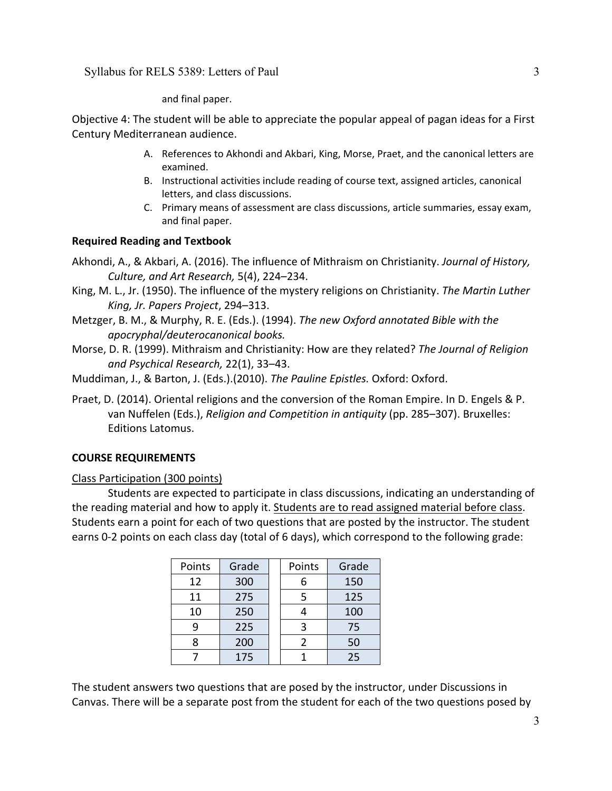and final paper.

Objective 4: The student will be able to appreciate the popular appeal of pagan ideas for a First Century Mediterranean audience.

- A. References to Akhondi and Akbari, King, Morse, Praet, and the canonical letters are examined.
- B. Instructional activities include reading of course text, assigned articles, canonical letters, and class discussions.
- C. Primary means of assessment are class discussions, article summaries, essay exam, and final paper.

## **Required Reading and Textbook**

- Akhondi, A., & Akbari, A. (2016). The influence of Mithraism on Christianity. *Journal of History, Culture, and Art Research,* 5(4), 224–234.
- King, M. L., Jr. (1950). The influence of the mystery religions on Christianity. *The Martin Luther King, Jr. Papers Project*, 294–313.
- Metzger, B. M., & Murphy, R. E. (Eds.). (1994). *The new Oxford annotated Bible with the apocryphal/deuterocanonical books.*
- Morse, D. R. (1999). Mithraism and Christianity: How are they related? *The Journal of Religion and Psychical Research,* 22(1), 33–43.
- Muddiman, J., & Barton, J. (Eds.).(2010). *The Pauline Epistles.* Oxford: Oxford.
- Praet, D. (2014). Oriental religions and the conversion of the Roman Empire. In D. Engels & P. van Nuffelen (Eds.), *Religion and Competition in antiquity* (pp. 285–307). Bruxelles: Editions Latomus.

### **COURSE REQUIREMENTS**

### Class Participation (300 points)

Students are expected to participate in class discussions, indicating an understanding of the reading material and how to apply it. Students are to read assigned material before class. Students earn a point for each of two questions that are posted by the instructor. The student earns 0-2 points on each class day (total of 6 days), which correspond to the following grade:

| Points | Grade | Points | Grade |
|--------|-------|--------|-------|
| 12     | 300   | 6      | 150   |
| 11     | 275   | 5      | 125   |
| 10     | 250   |        | 100   |
| ٩      | 225   | 3      | 75    |
| 8      | 200   | 2      | 50    |
|        | 175   |        | 25    |

The student answers two questions that are posed by the instructor, under Discussions in Canvas. There will be a separate post from the student for each of the two questions posed by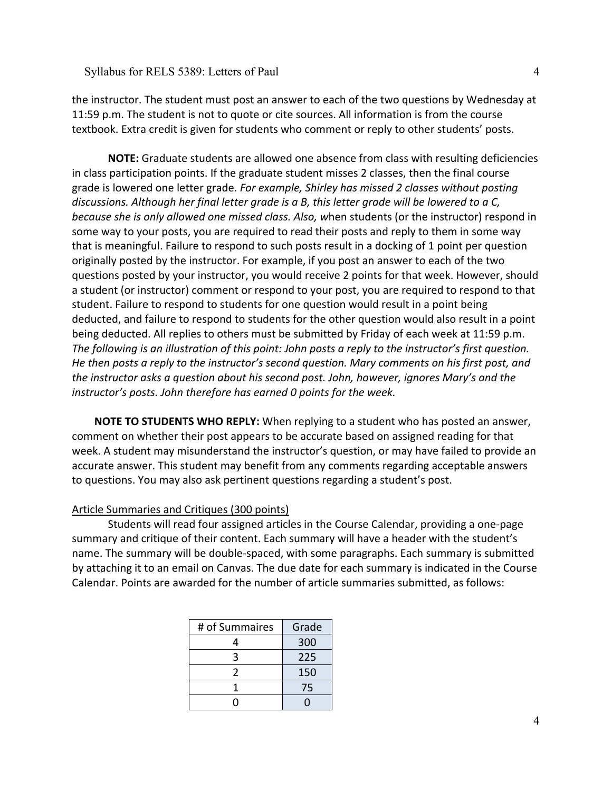the instructor. The student must post an answer to each of the two questions by Wednesday at 11:59 p.m. The student is not to quote or cite sources. All information is from the course textbook. Extra credit is given for students who comment or reply to other students' posts.

**NOTE:** Graduate students are allowed one absence from class with resulting deficiencies in class participation points. If the graduate student misses 2 classes, then the final course grade is lowered one letter grade. *For example, Shirley has missed 2 classes without posting discussions. Although her final letter grade is a B, this letter grade will be lowered to a C, because she is only allowed one missed class. Also, w*hen students (or the instructor) respond in some way to your posts, you are required to read their posts and reply to them in some way that is meaningful. Failure to respond to such posts result in a docking of 1 point per question originally posted by the instructor. For example, if you post an answer to each of the two questions posted by your instructor, you would receive 2 points for that week. However, should a student (or instructor) comment or respond to your post, you are required to respond to that student. Failure to respond to students for one question would result in a point being deducted, and failure to respond to students for the other question would also result in a point being deducted. All replies to others must be submitted by Friday of each week at 11:59 p.m. *The following is an illustration of this point: John posts a reply to the instructor's first question. He then posts a reply to the instructor's second question. Mary comments on his first post, and the instructor asks a question about his second post. John, however, ignores Mary's and the instructor's posts. John therefore has earned 0 points for the week.*

**NOTE TO STUDENTS WHO REPLY:** When replying to a student who has posted an answer, comment on whether their post appears to be accurate based on assigned reading for that week. A student may misunderstand the instructor's question, or may have failed to provide an accurate answer. This student may benefit from any comments regarding acceptable answers to questions. You may also ask pertinent questions regarding a student's post.

#### Article Summaries and Critiques (300 points)

Students will read four assigned articles in the Course Calendar, providing a one-page summary and critique of their content. Each summary will have a header with the student's name. The summary will be double-spaced, with some paragraphs. Each summary is submitted by attaching it to an email on Canvas. The due date for each summary is indicated in the Course Calendar. Points are awarded for the number of article summaries submitted, as follows:

| # of Summaires | Grade |
|----------------|-------|
| 4              | 300   |
| 3              | 225   |
| 2              | 150   |
|                | 75    |
|                |       |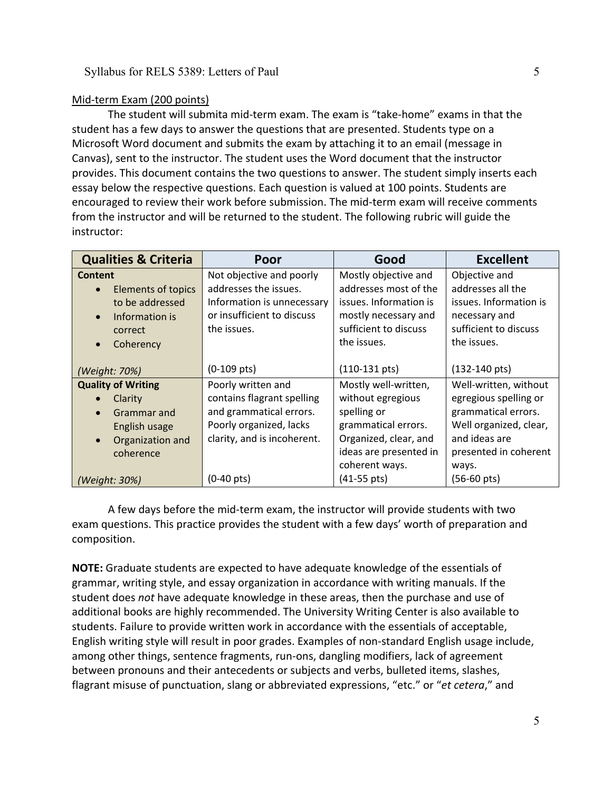#### Mid-term Exam (200 points)

The student will submita mid-term exam. The exam is "take-home" exams in that the student has a few days to answer the questions that are presented. Students type on a Microsoft Word document and submits the exam by attaching it to an email (message in Canvas), sent to the instructor. The student uses the Word document that the instructor provides. This document contains the two questions to answer. The student simply inserts each essay below the respective questions. Each question is valued at 100 points. Students are encouraged to review their work before submission. The mid-term exam will receive comments from the instructor and will be returned to the student. The following rubric will guide the instructor:

| <b>Qualities &amp; Criteria</b> | Poor                        | Good                    | <b>Excellent</b>        |
|---------------------------------|-----------------------------|-------------------------|-------------------------|
| <b>Content</b>                  | Not objective and poorly    | Mostly objective and    | Objective and           |
| <b>Elements of topics</b>       | addresses the issues.       | addresses most of the   | addresses all the       |
| to be addressed                 | Information is unnecessary  | issues. Information is  | issues. Information is  |
| Information is<br>$\bullet$     | or insufficient to discuss  | mostly necessary and    | necessary and           |
| correct                         | the issues.                 | sufficient to discuss   | sufficient to discuss   |
| Coherency                       |                             | the issues.             | the issues.             |
|                                 |                             |                         |                         |
| (Weight: 70%)                   | $(0-109$ pts)               | $(110-131 \text{ pts})$ | $(132-140 \text{ pts})$ |
| <b>Quality of Writing</b>       | Poorly written and          | Mostly well-written,    | Well-written, without   |
| Clarity                         | contains flagrant spelling  | without egregious       | egregious spelling or   |
| Grammar and<br>$\bullet$        | and grammatical errors.     | spelling or             | grammatical errors.     |
| English usage                   | Poorly organized, lacks     | grammatical errors.     | Well organized, clear,  |
| Organization and                | clarity, and is incoherent. | Organized, clear, and   | and ideas are           |
| coherence                       |                             | ideas are presented in  | presented in coherent   |
|                                 |                             | coherent ways.          | ways.                   |
| (Weight: 30%)                   | $(0-40 \, \text{pts})$      | $(41-55 \text{ pts})$   | $(56-60 \,\text{pts})$  |

A few days before the mid-term exam, the instructor will provide students with two exam questions. This practice provides the student with a few days' worth of preparation and composition.

**NOTE:** Graduate students are expected to have adequate knowledge of the essentials of grammar, writing style, and essay organization in accordance with writing manuals. If the student does *not* have adequate knowledge in these areas, then the purchase and use of additional books are highly recommended. The University Writing Center is also available to students. Failure to provide written work in accordance with the essentials of acceptable, English writing style will result in poor grades. Examples of non-standard English usage include, among other things, sentence fragments, run-ons, dangling modifiers, lack of agreement between pronouns and their antecedents or subjects and verbs, bulleted items, slashes, flagrant misuse of punctuation, slang or abbreviated expressions, "etc." or "*et cetera*," and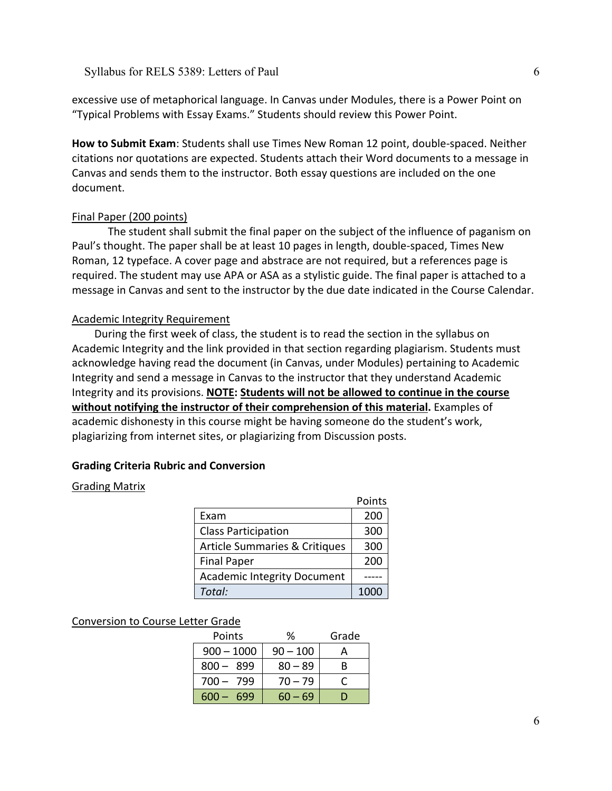excessive use of metaphorical language. In Canvas under Modules, there is a Power Point on "Typical Problems with Essay Exams." Students should review this Power Point.

**How to Submit Exam**: Students shall use Times New Roman 12 point, double-spaced. Neither citations nor quotations are expected. Students attach their Word documents to a message in Canvas and sends them to the instructor. Both essay questions are included on the one document.

### Final Paper (200 points)

The student shall submit the final paper on the subject of the influence of paganism on Paul's thought. The paper shall be at least 10 pages in length, double-spaced, Times New Roman, 12 typeface. A cover page and abstrace are not required, but a references page is required. The student may use APA or ASA as a stylistic guide. The final paper is attached to a message in Canvas and sent to the instructor by the due date indicated in the Course Calendar.

#### Academic Integrity Requirement

During the first week of class, the student is to read the section in the syllabus on Academic Integrity and the link provided in that section regarding plagiarism. Students must acknowledge having read the document (in Canvas, under Modules) pertaining to Academic Integrity and send a message in Canvas to the instructor that they understand Academic Integrity and its provisions. **NOTE: Students will not be allowed to continue in the course without notifying the instructor of their comprehension of this material.** Examples of academic dishonesty in this course might be having someone do the student's work, plagiarizing from internet sites, or plagiarizing from Discussion posts.

#### **Grading Criteria Rubric and Conversion**

#### Grading Matrix

|                                    | Points |
|------------------------------------|--------|
| Exam                               | 200    |
| <b>Class Participation</b>         | 300    |
| Article Summaries & Critiques      | 300    |
| <b>Final Paper</b>                 | 200    |
| <b>Academic Integrity Document</b> |        |
| Total:                             |        |

#### Conversion to Course Letter Grade

| Points         | ℅          | Grade |
|----------------|------------|-------|
| $900 - 1000$   | $90 - 100$ |       |
| $800 - 899$    | $80 - 89$  | R     |
| $700 - 799$    | $70 - 79$  |       |
| 699<br>$600 -$ | $60 - 69$  |       |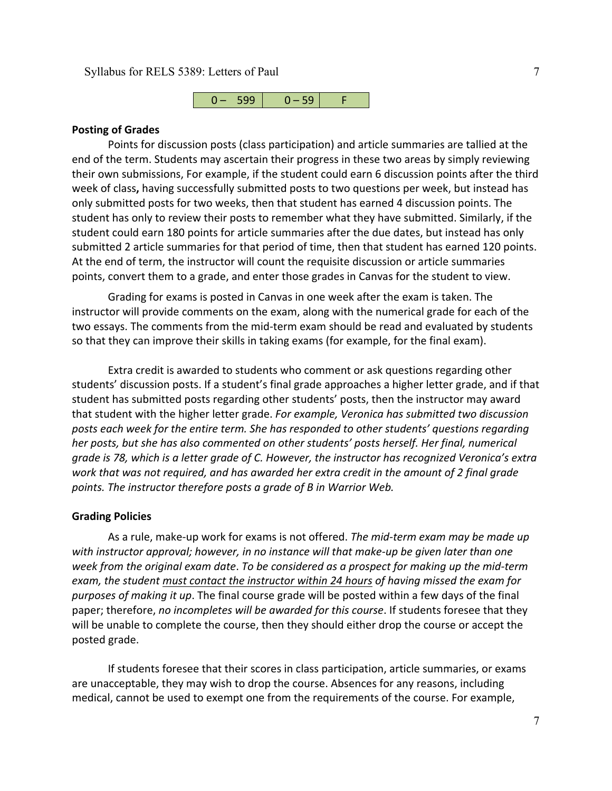

#### **Posting of Grades**

Points for discussion posts (class participation) and article summaries are tallied at the end of the term. Students may ascertain their progress in these two areas by simply reviewing their own submissions, For example, if the student could earn 6 discussion points after the third week of class**,** having successfully submitted posts to two questions per week, but instead has only submitted posts for two weeks, then that student has earned 4 discussion points. The student has only to review their posts to remember what they have submitted. Similarly, if the student could earn 180 points for article summaries after the due dates, but instead has only submitted 2 article summaries for that period of time, then that student has earned 120 points. At the end of term, the instructor will count the requisite discussion or article summaries points, convert them to a grade, and enter those grades in Canvas for the student to view.

Grading for exams is posted in Canvas in one week after the exam is taken. The instructor will provide comments on the exam, along with the numerical grade for each of the two essays. The comments from the mid-term exam should be read and evaluated by students so that they can improve their skills in taking exams (for example, for the final exam).

Extra credit is awarded to students who comment or ask questions regarding other students' discussion posts. If a student's final grade approaches a higher letter grade, and if that student has submitted posts regarding other students' posts, then the instructor may award that student with the higher letter grade. *For example, Veronica has submitted two discussion posts each week for the entire term. She has responded to other students' questions regarding her posts, but she has also commented on other students' posts herself. Her final, numerical grade is 78, which is a letter grade of C. However, the instructor has recognized Veronica's extra work that was not required, and has awarded her extra credit in the amount of 2 final grade points. The instructor therefore posts a grade of B in Warrior Web.*

#### **Grading Policies**

As a rule, make-up work for exams is not offered. *The mid-term exam may be made up with instructor approval; however, in no instance will that make-up be given later than one week from the original exam date*. *To be considered as a prospect for making up the mid-term exam, the student must contact the instructor within 24 hours of having missed the exam for purposes of making it up*. The final course grade will be posted within a few days of the final paper; therefore, *no incompletes will be awarded for this course*. If students foresee that they will be unable to complete the course, then they should either drop the course or accept the posted grade.

If students foresee that their scores in class participation, article summaries, or exams are unacceptable, they may wish to drop the course. Absences for any reasons, including medical, cannot be used to exempt one from the requirements of the course. For example,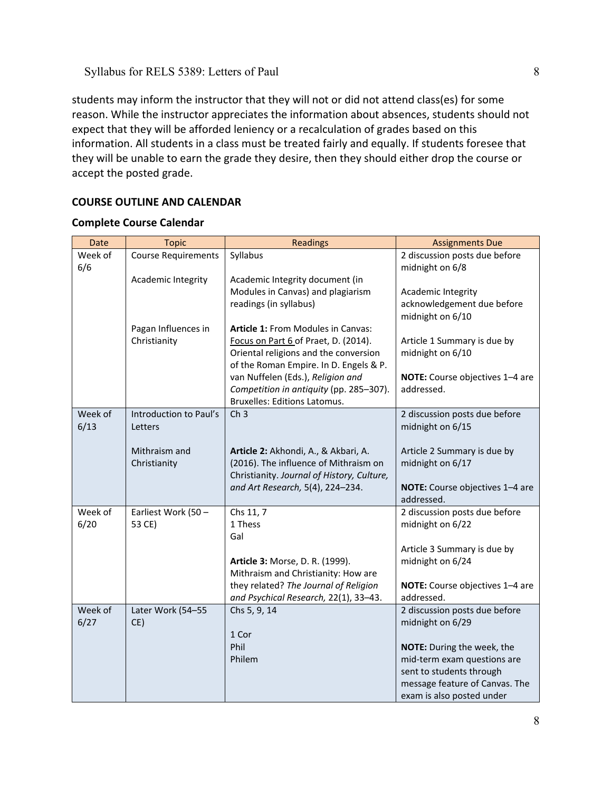students may inform the instructor that they will not or did not attend class(es) for some reason. While the instructor appreciates the information about absences, students should not expect that they will be afforded leniency or a recalculation of grades based on this information. All students in a class must be treated fairly and equally. If students foresee that they will be unable to earn the grade they desire, then they should either drop the course or accept the posted grade.

# **COURSE OUTLINE AND CALENDAR**

# **Complete Course Calendar**

| Date    | <b>Topic</b>                        | <b>Readings</b>                                                            | <b>Assignments Due</b>                      |
|---------|-------------------------------------|----------------------------------------------------------------------------|---------------------------------------------|
| Week of | <b>Course Requirements</b>          | Syllabus                                                                   | 2 discussion posts due before               |
| 6/6     |                                     |                                                                            | midnight on 6/8                             |
|         | Academic Integrity                  | Academic Integrity document (in                                            |                                             |
|         |                                     | Modules in Canvas) and plagiarism                                          | Academic Integrity                          |
|         |                                     | readings (in syllabus)                                                     | acknowledgement due before                  |
|         |                                     |                                                                            | midnight on 6/10                            |
|         | Pagan Influences in<br>Christianity | Article 1: From Modules in Canvas:<br>Focus on Part 6 of Praet, D. (2014). | Article 1 Summary is due by                 |
|         |                                     | Oriental religions and the conversion                                      | midnight on 6/10                            |
|         |                                     | of the Roman Empire. In D. Engels & P.                                     |                                             |
|         |                                     | van Nuffelen (Eds.), Religion and                                          | NOTE: Course objectives 1-4 are             |
|         |                                     | Competition in antiquity (pp. 285-307).                                    | addressed.                                  |
|         |                                     | Bruxelles: Editions Latomus.                                               |                                             |
| Week of | Introduction to Paul's              | Ch <sub>3</sub>                                                            | 2 discussion posts due before               |
| 6/13    | Letters                             |                                                                            | midnight on 6/15                            |
|         |                                     |                                                                            |                                             |
|         | Mithraism and                       | Article 2: Akhondi, A., & Akbari, A.                                       | Article 2 Summary is due by                 |
|         | Christianity                        | (2016). The influence of Mithraism on                                      | midnight on 6/17                            |
|         |                                     | Christianity. Journal of History, Culture,                                 |                                             |
|         |                                     | and Art Research, 5(4), 224-234.                                           | NOTE: Course objectives 1-4 are             |
| Week of | Earliest Work (50 -                 | Chs 11, 7                                                                  | addressed.<br>2 discussion posts due before |
| 6/20    | 53 CE)                              | 1 Thess                                                                    | midnight on 6/22                            |
|         |                                     | Gal                                                                        |                                             |
|         |                                     |                                                                            | Article 3 Summary is due by                 |
|         |                                     | Article 3: Morse, D. R. (1999).                                            | midnight on 6/24                            |
|         |                                     | Mithraism and Christianity: How are                                        |                                             |
|         |                                     | they related? The Journal of Religion                                      | NOTE: Course objectives 1-4 are             |
|         |                                     | and Psychical Research, 22(1), 33-43.                                      | addressed.                                  |
| Week of | Later Work (54-55                   | Chs 5, 9, 14                                                               | 2 discussion posts due before               |
| 6/27    | CE)                                 |                                                                            | midnight on 6/29                            |
|         |                                     | 1 Cor                                                                      |                                             |
|         |                                     | Phil                                                                       | NOTE: During the week, the                  |
|         |                                     | Philem                                                                     | mid-term exam questions are                 |
|         |                                     |                                                                            | sent to students through                    |
|         |                                     |                                                                            | message feature of Canvas. The              |
|         |                                     |                                                                            | exam is also posted under                   |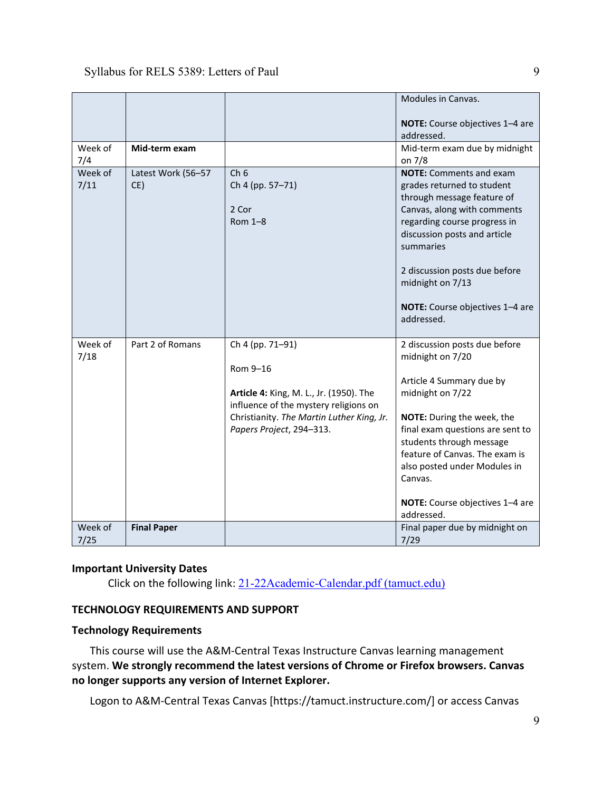|                 |                           |                                                                                                                                                                                           | Modules in Canvas.<br>NOTE: Course objectives 1-4 are<br>addressed.                                                                                                                                                                                                                                                           |
|-----------------|---------------------------|-------------------------------------------------------------------------------------------------------------------------------------------------------------------------------------------|-------------------------------------------------------------------------------------------------------------------------------------------------------------------------------------------------------------------------------------------------------------------------------------------------------------------------------|
| Week of<br>7/4  | Mid-term exam             |                                                                                                                                                                                           | Mid-term exam due by midnight<br>on 7/8                                                                                                                                                                                                                                                                                       |
| Week of<br>7/11 | Latest Work (56-57<br>CE) | Ch <sub>6</sub><br>Ch 4 (pp. 57-71)<br>2 Cor<br>Rom 1-8                                                                                                                                   | <b>NOTE:</b> Comments and exam<br>grades returned to student<br>through message feature of<br>Canvas, along with comments<br>regarding course progress in<br>discussion posts and article<br>summaries<br>2 discussion posts due before<br>midnight on 7/13<br>NOTE: Course objectives 1-4 are<br>addressed.                  |
| Week of<br>7/18 | Part 2 of Romans          | Ch 4 (pp. 71-91)<br>Rom 9-16<br>Article 4: King, M. L., Jr. (1950). The<br>influence of the mystery religions on<br>Christianity. The Martin Luther King, Jr.<br>Papers Project, 294-313. | 2 discussion posts due before<br>midnight on 7/20<br>Article 4 Summary due by<br>midnight on 7/22<br>NOTE: During the week, the<br>final exam questions are sent to<br>students through message<br>feature of Canvas. The exam is<br>also posted under Modules in<br>Canvas.<br>NOTE: Course objectives 1-4 are<br>addressed. |
| Week of<br>7/25 | <b>Final Paper</b>        |                                                                                                                                                                                           | Final paper due by midnight on<br>7/29                                                                                                                                                                                                                                                                                        |

# **Important University Dates**

Click on the following link: [21-22Academic-Calendar.pdf \(tamuct.edu\)](https://www.tamuct.edu/registrar/docs/21-22Academic-Calendar.pdf)

## **TECHNOLOGY REQUIREMENTS AND SUPPORT**

### **Technology Requirements**

This course will use the A&M-Central Texas Instructure Canvas learning management system. **We strongly recommend the latest versions of Chrome or Firefox browsers. Canvas no longer supports any version of Internet Explorer.**

Logon to A&M-Central Texas Canvas [https://tamuct.instructure.com/] or access Canvas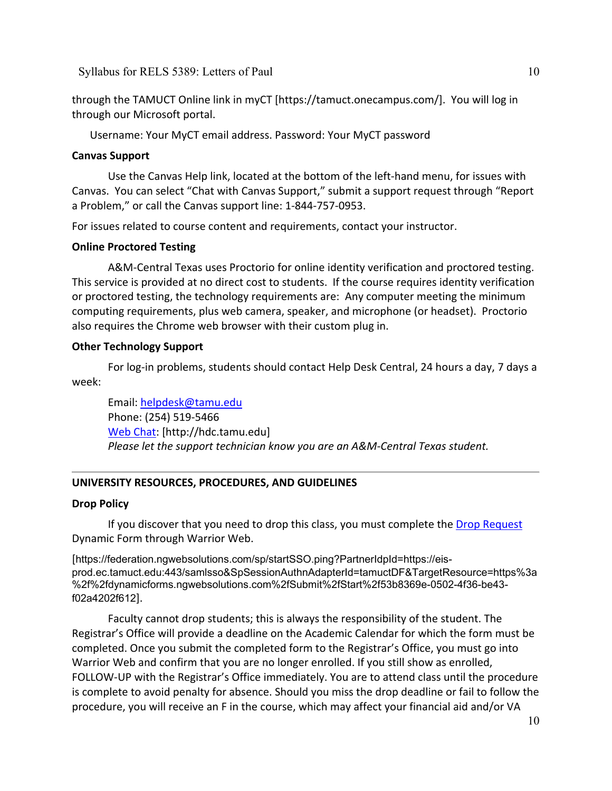through the TAMUCT Online link in myCT [https://tamuct.onecampus.com/]. You will log in through our Microsoft portal.

Username: Your MyCT email address. Password: Your MyCT password

# **Canvas Support**

Use the Canvas Help link, located at the bottom of the left-hand menu, for issues with Canvas. You can select "Chat with Canvas Support," submit a support request through "Report a Problem," or call the Canvas support line: 1-844-757-0953.

For issues related to course content and requirements, contact your instructor.

## **Online Proctored Testing**

A&M-Central Texas uses Proctorio for online identity verification and proctored testing. This service is provided at no direct cost to students. If the course requires identity verification or proctored testing, the technology requirements are: Any computer meeting the minimum computing requirements, plus web camera, speaker, and microphone (or headset). Proctorio also requires the Chrome web browser with their custom plug in.

## **Other Technology Support**

For log-in problems, students should contact Help Desk Central, 24 hours a day, 7 days a week:

Email: [helpdesk@tamu.edu](mailto:helpdesk@tamu.edu) Phone: (254) 519-5466 [Web Chat:](http://hdc.tamu.edu/) [http://hdc.tamu.edu] *Please let the support technician know you are an A&M-Central Texas student.*

# **UNIVERSITY RESOURCES, PROCEDURES, AND GUIDELINES**

### **Drop Policy**

If you discover that you need to drop this class, you must complete the [Drop Request](https://federation.ngwebsolutions.com/sp/startSSO.ping?PartnerIdpId=https://eis-prod.ec.tamuct.edu:443/samlsso&SpSessionAuthnAdapterId=tamuctDF&TargetResource=https%3a%2f%2fdynamicforms.ngwebsolutions.com%2fSubmit%2fStart%2f53b8369e-0502-4f36-be43-f02a4202f612) Dynamic Form through Warrior Web.

[https://federation.ngwebsolutions.com/sp/startSSO.ping?PartnerIdpId=https://eisprod.ec.tamuct.edu:443/samlsso&SpSessionAuthnAdapterId=tamuctDF&TargetResource=https%3a %2f%2fdynamicforms.ngwebsolutions.com%2fSubmit%2fStart%2f53b8369e-0502-4f36-be43 f02a4202f612].

Faculty cannot drop students; this is always the responsibility of the student. The Registrar's Office will provide a deadline on the Academic Calendar for which the form must be completed. Once you submit the completed form to the Registrar's Office, you must go into Warrior Web and confirm that you are no longer enrolled. If you still show as enrolled, FOLLOW-UP with the Registrar's Office immediately. You are to attend class until the procedure is complete to avoid penalty for absence. Should you miss the drop deadline or fail to follow the procedure, you will receive an F in the course, which may affect your financial aid and/or VA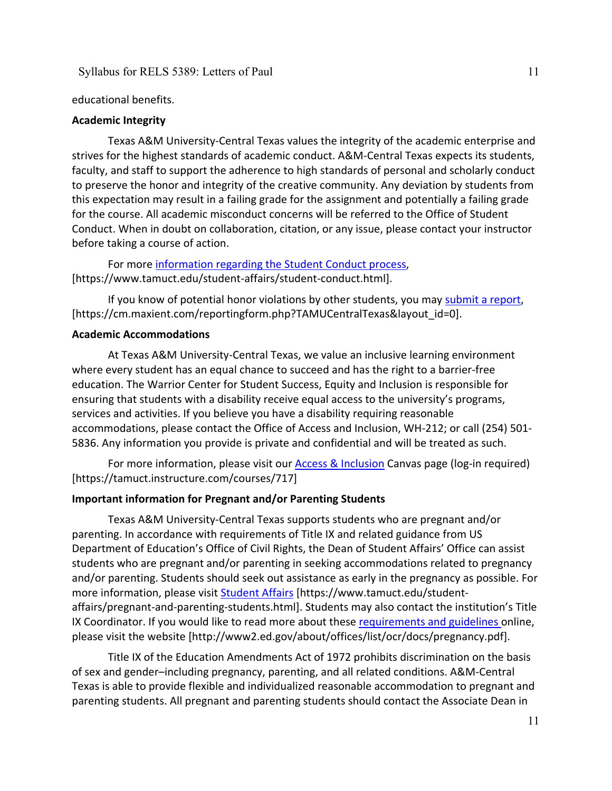educational benefits.

#### **Academic Integrity**

Texas A&M University-Central Texas values the integrity of the academic enterprise and strives for the highest standards of academic conduct. A&M-Central Texas expects its students, faculty, and staff to support the adherence to high standards of personal and scholarly conduct to preserve the honor and integrity of the creative community. Any deviation by students from this expectation may result in a failing grade for the assignment and potentially a failing grade for the course. All academic misconduct concerns will be referred to the Office of Student Conduct. When in doubt on collaboration, citation, or any issue, please contact your instructor before taking a course of action.

For more [information](https://nam04.safelinks.protection.outlook.com/?url=https%3A%2F%2Fwww.tamuct.edu%2Fstudent-affairs%2Fstudent-conduct.html&data=04%7C01%7Clisa.bunkowski%40tamuct.edu%7Ccfb6e486f24745f53e1a08d910055cb2%7C9eed4e3000f744849ff193ad8005acec%7C0%7C0%7C637558437485252160%7CUnknown%7CTWFpbGZsb3d8eyJWIjoiMC4wLjAwMDAiLCJQIjoiV2luMzIiLCJBTiI6Ik1haWwiLCJXVCI6Mn0%3D%7C1000&sdata=yjftDEVHvLX%2FhM%2FcFU0B99krV1RgEWR%2BJ%2BhvtoR6TYk%3D&reserved=0) regarding the Student Conduct process, [https://www.tamuct.edu/student-affairs/student-conduct.html].

If you know of potential honor violations by other students, you may [submit](https://nam04.safelinks.protection.outlook.com/?url=https%3A%2F%2Fcm.maxient.com%2Freportingform.php%3FTAMUCentralTexas%26layout_id%3D0&data=04%7C01%7Clisa.bunkowski%40tamuct.edu%7Ccfb6e486f24745f53e1a08d910055cb2%7C9eed4e3000f744849ff193ad8005acec%7C0%7C0%7C637558437485262157%7CUnknown%7CTWFpbGZsb3d8eyJWIjoiMC4wLjAwMDAiLCJQIjoiV2luMzIiLCJBTiI6Ik1haWwiLCJXVCI6Mn0%3D%7C1000&sdata=CXGkOa6uPDPX1IMZ87z3aZDq2n91xfHKu4MMS43Ejjk%3D&reserved=0) a report, [https://cm.maxient.com/reportingform.php?TAMUCentralTexas&layout\_id=0].

## **Academic Accommodations**

At Texas A&M University-Central Texas, we value an inclusive learning environment where every student has an equal chance to succeed and has the right to a barrier-free education. The Warrior Center for Student Success, Equity and Inclusion is responsible for ensuring that students with a disability receive equal access to the university's programs, services and activities. If you believe you have a disability requiring reasonable accommodations, please contact the Office of Access and Inclusion, WH-212; or call (254) 501- 5836. Any information you provide is private and confidential and will be treated as such.

For more information, please visit our **Access & Inclusion** Canvas page (log-in required) [https://tamuct.instructure.com/courses/717]

#### **Important information for Pregnant and/or Parenting Students**

Texas A&M University-Central Texas supports students who are pregnant and/or parenting. In accordance with requirements of Title IX and related guidance from US Department of Education's Office of Civil Rights, the Dean of Student Affairs' Office can assist students who are pregnant and/or parenting in seeking accommodations related to pregnancy and/or parenting. Students should seek out assistance as early in the pregnancy as possible. For more information, please visit [Student Affairs](https://www.tamuct.edu/student-affairs/pregnant-and-parenting-students.html) [https://www.tamuct.edu/studentaffairs/pregnant-and-parenting-students.html]. Students may also contact the institution's Title IX Coordinator. If you would like to read more about these [requirements and guidelines](http://www2.ed.gov/about/offices/list/ocr/docs/pregnancy.pdf) online, please visit the website [http://www2.ed.gov/about/offices/list/ocr/docs/pregnancy.pdf].

Title IX of the Education Amendments Act of 1972 prohibits discrimination on the basis of sex and gender–including pregnancy, parenting, and all related conditions. A&M-Central Texas is able to provide flexible and individualized reasonable accommodation to pregnant and parenting students. All pregnant and parenting students should contact the Associate Dean in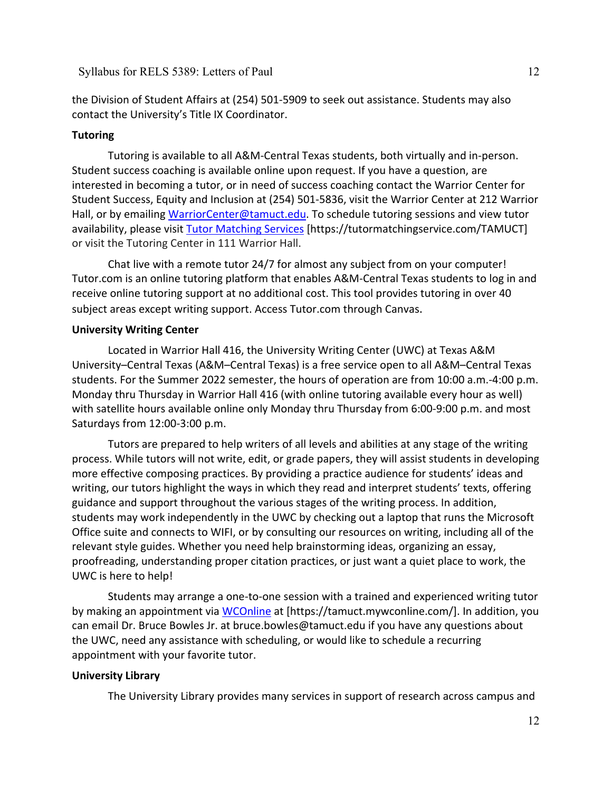the Division of Student Affairs at (254) 501-5909 to seek out assistance. Students may also contact the University's Title IX Coordinator.

# **Tutoring**

Tutoring is available to all A&M-Central Texas students, both virtually and in-person. Student success coaching is available online upon request. If you have a question, are interested in becoming a tutor, or in need of success coaching contact the Warrior Center for Student Success, Equity and Inclusion at (254) 501-5836, visit the Warrior Center at 212 Warrior Hall, or by emailing [WarriorCenter@tamuct.edu.](mailto:WarriorCenter@tamuct.edu) To schedule tutoring sessions and view tutor availability, please visit Tutor [Matching](https://tutormatchingservice.com/TAMUCT) Services [https://tutormatchingservice.com/TAMUCT] or visit the Tutoring Center in 111 Warrior Hall.

Chat live with a remote tutor 24/7 for almost any subject from on your computer! Tutor.com is an online tutoring platform that enables A&M-Central Texas students to log in and receive online tutoring support at no additional cost. This tool provides tutoring in over 40 subject areas except writing support. Access Tutor.com through Canvas.

#### **University Writing Center**

Located in Warrior Hall 416, the University Writing Center (UWC) at Texas A&M University–Central Texas (A&M–Central Texas) is a free service open to all A&M–Central Texas students. For the Summer 2022 semester, the hours of operation are from 10:00 a.m.-4:00 p.m. Monday thru Thursday in Warrior Hall 416 (with online tutoring available every hour as well) with satellite hours available online only Monday thru Thursday from 6:00-9:00 p.m. and most Saturdays from 12:00-3:00 p.m.

Tutors are prepared to help writers of all levels and abilities at any stage of the writing process. While tutors will not write, edit, or grade papers, they will assist students in developing more effective composing practices. By providing a practice audience for students' ideas and writing, our tutors highlight the ways in which they read and interpret students' texts, offering guidance and support throughout the various stages of the writing process. In addition, students may work independently in the UWC by checking out a laptop that runs the Microsoft Office suite and connects to WIFI, or by consulting our resources on writing, including all of the relevant style guides. Whether you need help brainstorming ideas, organizing an essay, proofreading, understanding proper citation practices, or just want a quiet place to work, the UWC is here to help!

Students may arrange a one-to-one session with a trained and experienced writing tutor by making an appointment via [WCOnline](https://tamuct.mywconline.com/) at [https://tamuct.mywconline.com/]. In addition, you can email Dr. Bruce Bowles Jr. at bruce.bowles@tamuct.edu if you have any questions about the UWC, need any assistance with scheduling, or would like to schedule a recurring appointment with your favorite tutor.

#### **University Library**

The University Library provides many services in support of research across campus and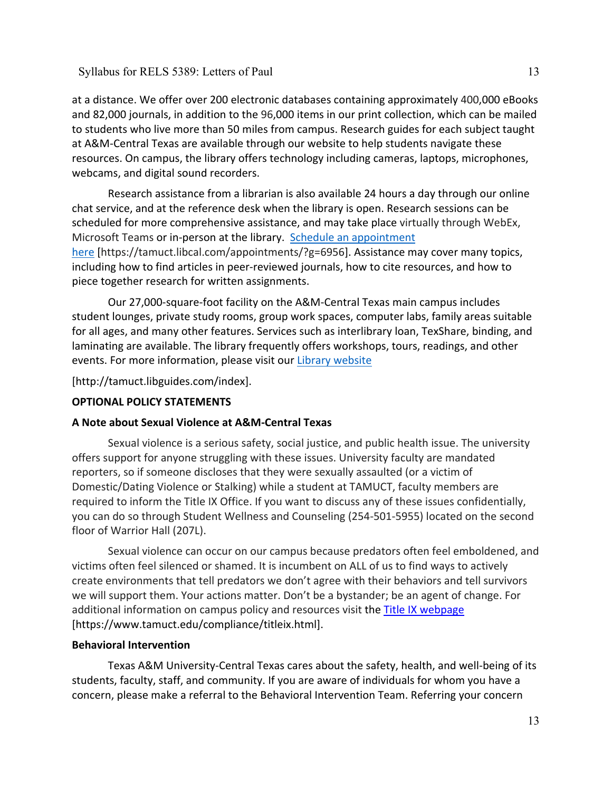at a distance. We offer over 200 electronic databases containing approximately 400,000 eBooks and 82,000 journals, in addition to the 96,000 items in our print collection, which can be mailed to students who live more than 50 miles from campus. Research guides for each subject taught at A&M-Central Texas are available through our website to help students navigate these resources. On campus, the library offers technology including cameras, laptops, microphones, webcams, and digital sound recorders.

Research assistance from a librarian is also available 24 hours a day through our online chat service, and at the reference desk when the library is open. Research sessions can be scheduled for more comprehensive assistance, and may take place virtually through WebEx, Microsoft Teams or in-person at the library. Schedule an [appointment](https://nam04.safelinks.protection.outlook.com/?url=https%3A%2F%2Ftamuct.libcal.com%2Fappointments%2F%3Fg%3D6956&data=04%7C01%7Clisa.bunkowski%40tamuct.edu%7Cde2c07d9f5804f09518008d9ab7ba6ff%7C9eed4e3000f744849ff193ad8005acec%7C0%7C0%7C637729369835011558%7CUnknown%7CTWFpbGZsb3d8eyJWIjoiMC4wLjAwMDAiLCJQIjoiV2luMzIiLCJBTiI6Ik1haWwiLCJXVCI6Mn0%3D%7C3000&sdata=KhtjgRSAw9aq%2FoBsB6wyu8b7PSuGN5EGPypzr3Ty2No%3D&reserved=0) [here](https://nam04.safelinks.protection.outlook.com/?url=https%3A%2F%2Ftamuct.libcal.com%2Fappointments%2F%3Fg%3D6956&data=04%7C01%7Clisa.bunkowski%40tamuct.edu%7Cde2c07d9f5804f09518008d9ab7ba6ff%7C9eed4e3000f744849ff193ad8005acec%7C0%7C0%7C637729369835011558%7CUnknown%7CTWFpbGZsb3d8eyJWIjoiMC4wLjAwMDAiLCJQIjoiV2luMzIiLCJBTiI6Ik1haWwiLCJXVCI6Mn0%3D%7C3000&sdata=KhtjgRSAw9aq%2FoBsB6wyu8b7PSuGN5EGPypzr3Ty2No%3D&reserved=0) [https://tamuct.libcal.com/appointments/?g=6956]. Assistance may cover many topics, including how to find articles in peer-reviewed journals, how to cite resources, and how to piece together research for written assignments.

Our 27,000-square-foot facility on the A&M-Central Texas main campus includes student lounges, private study rooms, group work spaces, computer labs, family areas suitable for all ages, and many other features. Services such as interlibrary loan, TexShare, binding, and laminating are available. The library frequently offers workshops, tours, readings, and other events. For more information, please visit our Library [website](https://nam04.safelinks.protection.outlook.com/?url=https%3A%2F%2Ftamuct.libguides.com%2Findex&data=04%7C01%7Clisa.bunkowski%40tamuct.edu%7C7d8489e8839a4915335f08d916f067f2%7C9eed4e3000f744849ff193ad8005acec%7C0%7C0%7C637566044056484222%7CUnknown%7CTWFpbGZsb3d8eyJWIjoiMC4wLjAwMDAiLCJQIjoiV2luMzIiLCJBTiI6Ik1haWwiLCJXVCI6Mn0%3D%7C1000&sdata=2R755V6rcIyedGrd4Os5rkgn1PvhHKU3kUV1vBKiHFo%3D&reserved=0)

[http://tamuct.libguides.com/index].

# **OPTIONAL POLICY STATEMENTS**

# **A Note about Sexual Violence at A&M-Central Texas**

Sexual violence is a serious safety, social justice, and public health issue. The university offers support for anyone struggling with these issues. University faculty are mandated reporters, so if someone discloses that they were sexually assaulted (or a victim of Domestic/Dating Violence or Stalking) while a student at TAMUCT, faculty members are required to inform the Title IX Office. If you want to discuss any of these issues confidentially, you can do so through Student Wellness and Counseling (254-501-5955) located on the second floor of Warrior Hall (207L).

Sexual violence can occur on our campus because predators often feel emboldened, and victims often feel silenced or shamed. It is incumbent on ALL of us to find ways to actively create environments that tell predators we don't agree with their behaviors and tell survivors we will support them. Your actions matter. Don't be a bystander; be an agent of change. For additional information on campus policy and resources visit the [Title IX webpage](https://www.tamuct.edu/compliance/titleix.html) [\[https://www.tamuct.edu/compliance/titleix.html\]](https://www.tamuct.edu/compliance/titleix.html).

# **Behavioral Intervention**

Texas A&M University-Central Texas cares about the safety, health, and well-being of its students, faculty, staff, and community. If you are aware of individuals for whom you have a concern, please make a referral to the Behavioral Intervention Team. Referring your concern